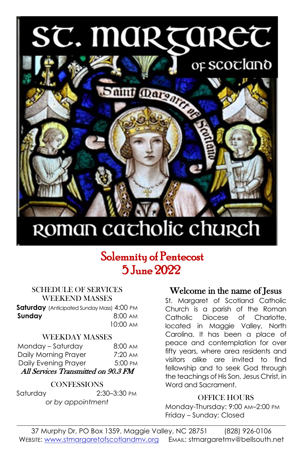# ST. MARÇARET



## ROMAN cacholic church

### Solemnity of Pentecost 5 June 2022

#### SCHEDULE OF SERVICES WEEKEND MASSES

**Saturday** (Anticipated Sunday Mass) 4:00 PM **Sunday 8:00 AM** 10:00 AM

#### WEEKDAY MASSES

| Monday - Saturday                   | $8:00 \text{ AM}$ |  |  |  |
|-------------------------------------|-------------------|--|--|--|
| Daily Morning Prayer                | $7:20 \text{ AM}$ |  |  |  |
| Daily Evening Prayer                | 5:00 PM           |  |  |  |
| All Services Transmitted on 90.3 FM |                   |  |  |  |

#### **CONFESSIONS**

Saturday 2:30–3:30 PM *or by appointment*

#### Welcome in the name of Jesus

St. Margaret of Scotland Catholic Church is a parish of the Roman Catholic Diocese of Charlotte, located in Maggie Valley, North Carolina. It has been a place of peace and contemplation for over fifty years, where area residents and visitors alike are invited to find fellowship and to seek God through the teachings of His Son, Jesus Christ, in Word and Sacrament.

#### OFFICE HOURS

Monday-Thursday: 9:00 AM–2:00 PM Friday – Sunday: Closed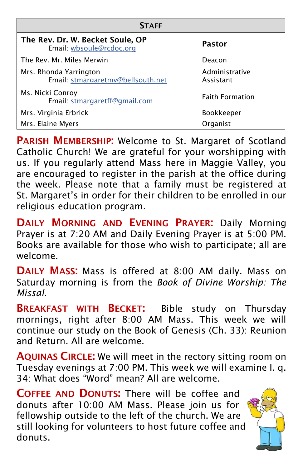| <b>STAFF</b>                                                 |                             |  |  |  |  |
|--------------------------------------------------------------|-----------------------------|--|--|--|--|
| The Rev. Dr. W. Becket Soule, OP<br>Email: wbsoule@rcdoc.org | Pastor                      |  |  |  |  |
| The Rev. Mr. Miles Merwin                                    | Deacon                      |  |  |  |  |
| Mrs. Rhonda Yarrington<br>Email: stmargaretmv@bellsouth.net  | Administrative<br>Assistant |  |  |  |  |
| Ms. Nicki Conroy<br>Email: stmargaretff@gmail.com            | <b>Faith Formation</b>      |  |  |  |  |
| Mrs. Virginia Erbrick                                        | Bookkeeper                  |  |  |  |  |
| Mrs. Elaine Myers                                            | Organist                    |  |  |  |  |

**PARISH MEMBERSHIP:** Welcome to St. Margaret of Scotland Catholic Church! We are grateful for your worshipping with us. If you regularly attend Mass here in Maggie Valley, you are encouraged to register in the parish at the office during the week. Please note that a family must be registered at St. Margaret's in order for their children to be enrolled in our religious education program.

DAILY MORNING AND EVENING PRAYER: Daily Morning Prayer is at 7:20 AM and Daily Evening Prayer is at 5:00 PM. Books are available for those who wish to participate; all are welcome.

DAILY MASS: Mass is offered at 8:00 AM daily. Mass on Saturday morning is from the *Book of Divine Worship: The Missal.*

**BREAKFAST WITH BECKET:** Bible study on Thursday mornings, right after 8:00 AM Mass. This week we will continue our study on the Book of Genesis (Ch. 33): Reunion and Return. All are welcome.

AQUINAS CIRCLE: We will meet in the rectory sitting room on Tuesday evenings at 7:00 PM. This week we will examine I. q. 34: What does "Word" mean? All are welcome.

COFFEE AND DONUTS: There will be coffee and donuts after 10:00 AM Mass. Please join us for fellowship outside to the left of the church. We are still looking for volunteers to host future coffee and donuts.

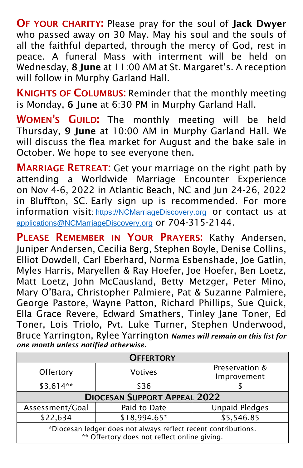OF YOUR CHARITY: Please pray for the soul of Jack Dwyer who passed away on 30 May. May his soul and the souls of all the faithful departed, through the mercy of God, rest in peace. A funeral Mass with interment will be held on Wednesday, 8 June at 11:00 AM at St. Margaret's. A reception will follow in Murphy Garland Hall.

KNIGHTS OF COLUMBUS: Reminder that the monthly meeting is Monday, 6 June at 6:30 PM in Murphy Garland Hall.

WOMEN'S GUILD: The monthly meeting will be held Thursday, 9 June at 10:00 AM in Murphy Garland Hall. We will discuss the flea market for August and the bake sale in October. We hope to see everyone then.

**MARRIAGE RETREAT:** Get your marriage on the right path by attending a Worldwide Marriage Encounter Experience on Nov 4-6, 2022 in Atlantic Beach, NC and Jun 24-26, 2022 in Bluffton, SC. Early sign up is recommended. For more information visit: [https://NCMarriageDiscovery.org](https://ncmarriagediscovery.org/) or contact us at <applications@NCMarriageDiscovery.org> or 704-315-2144.

PLEASE REMEMBER IN YOUR PRAYERS: Kathy Andersen, Juniper Andersen, Cecilia Berg, Stephen Boyle, Denise Collins, Elliot Dowdell, Carl Eberhard, Norma Esbenshade, Joe Gatlin, Myles Harris, Maryellen & Ray Hoefer, Joe Hoefer, Ben Loetz, Matt Loetz, John McCausland, Betty Metzger, Peter Mino, Mary O'Bara, Christopher Palmiere, Pat & Suzanne Palmiere, George Pastore, Wayne Patton, Richard Phillips, Sue Quick, Ella Grace Revere, Edward Smathers, Tinley Jane Toner, Ed Toner, Lois Triolo, Pvt. Luke Turner, Stephen Underwood, Bruce Yarrington, Rylee Yarrington *Names will remain on this list for one month unless notified otherwise.*

| <b>OFFERTORY</b>                                                                                               |              |                       |  |  |  |  |
|----------------------------------------------------------------------------------------------------------------|--------------|-----------------------|--|--|--|--|
| Offertory<br><b>Votives</b>                                                                                    |              | Preservation &        |  |  |  |  |
|                                                                                                                | Improvement  |                       |  |  |  |  |
| $$3,614**$                                                                                                     | \$36         |                       |  |  |  |  |
| <b>DIOCESAN SUPPORT APPEAL 2022</b>                                                                            |              |                       |  |  |  |  |
| Assessment/Goal                                                                                                | Paid to Date | <b>Unpaid Pledges</b> |  |  |  |  |
| \$22,634                                                                                                       | \$18,994.65* | \$5,546.85            |  |  |  |  |
| *Diocesan ledger does not always reflect recent contributions.<br>** Offertory does not reflect online giving. |              |                       |  |  |  |  |